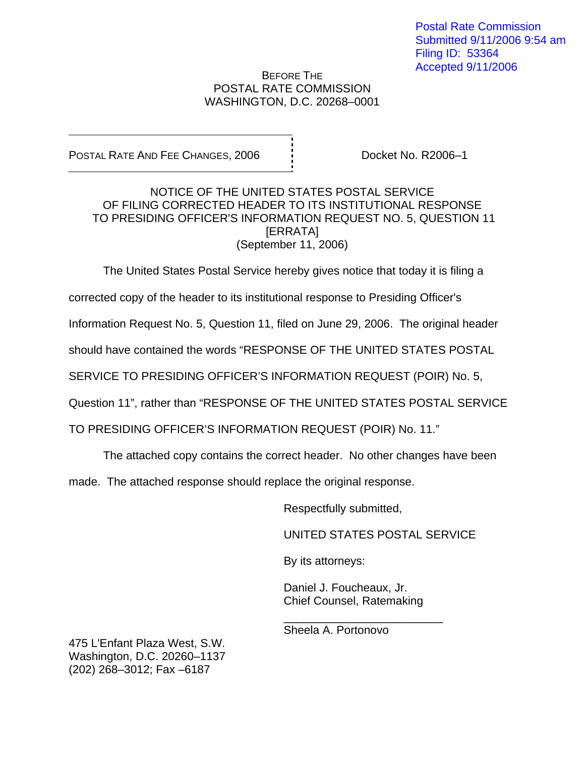## BEFORE THE POSTAL RATE COMMISSION WASHINGTON, D.C. 20268–0001

POSTAL RATE AND FEE CHANGES, 2006 Docket No. R2006-1

## NOTICE OF THE UNITED STATES POSTAL SERVICE OF FILING CORRECTED HEADER TO ITS INSTITUTIONAL RESPONSE TO PRESIDING OFFICER'S INFORMATION REQUEST NO. 5, QUESTION 11 [ERRATA] (September 11, 2006)

The United States Postal Service hereby gives notice that today it is filing a

corrected copy of the header to its institutional response to Presiding Officer's

Information Request No. 5, Question 11, filed on June 29, 2006. The original header

should have contained the words "RESPONSE OF THE UNITED STATES POSTAL

SERVICE TO PRESIDING OFFICER'S INFORMATION REQUEST (POIR) No. 5,

Question 11", rather than "RESPONSE OF THE UNITED STATES POSTAL SERVICE

TO PRESIDING OFFICER'S INFORMATION REQUEST (POIR) No. 11."

 $\frac{1}{\sqrt{2}}$  ,  $\frac{1}{\sqrt{2}}$  ,  $\frac{1}{\sqrt{2}}$  ,  $\frac{1}{\sqrt{2}}$  ,  $\frac{1}{\sqrt{2}}$  ,  $\frac{1}{\sqrt{2}}$  ,  $\frac{1}{\sqrt{2}}$  ,  $\frac{1}{\sqrt{2}}$  ,  $\frac{1}{\sqrt{2}}$  ,  $\frac{1}{\sqrt{2}}$  ,  $\frac{1}{\sqrt{2}}$  ,  $\frac{1}{\sqrt{2}}$  ,  $\frac{1}{\sqrt{2}}$  ,  $\frac{1}{\sqrt{2}}$  ,  $\frac{1}{\sqrt{2}}$ 

The attached copy contains the correct header. No other changes have been

made. The attached response should replace the original response.

Respectfully submitted,

UNITED STATES POSTAL SERVICE

By its attorneys:

 Daniel J. Foucheaux, Jr. Chief Counsel, Ratemaking

Sheela A. Portonovo

475 L'Enfant Plaza West, S.W. Washington, D.C. 20260–1137 (202) 268–3012; Fax –6187